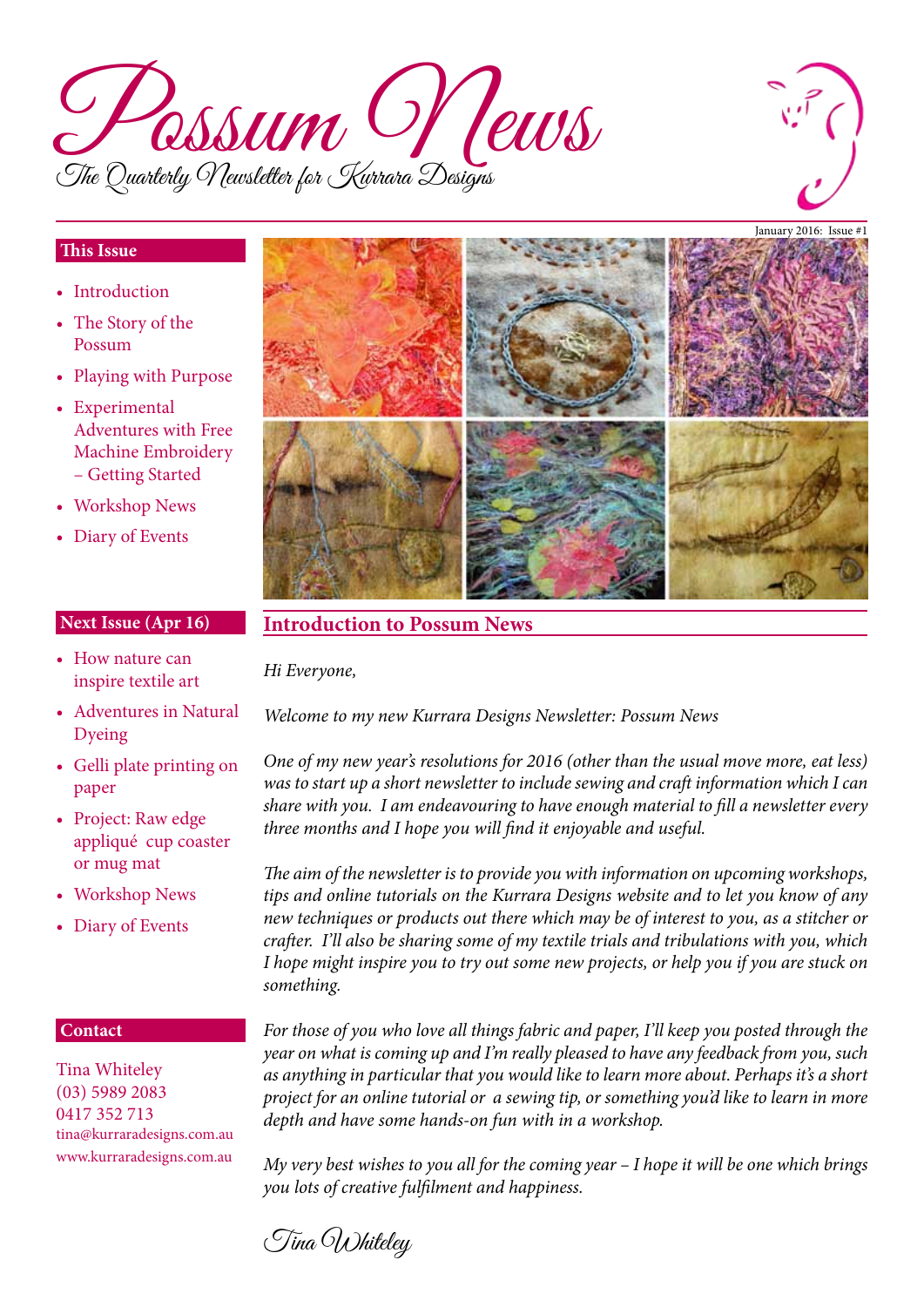



#### **This Issue**

- Introduction
- The Story of the Possum
- Playing with Purpose
- Experimental Adventures with Free Machine Embroidery – Getting Started
- Workshop News
- Diary of Events

#### **Next Issue (Apr 16)**

- How nature can inspire textile art
- Adventures in Natural Dyeing
- Gelli plate printing on paper
- Project: Raw edge appliqué cup coaster or mug mat
- Workshop News
- Diary of Events

#### **Contact**

Tina Whiteley (03) 5989 2083 0417 352 713 tina@kurraradesigns.com.au www.kurraradesigns.com.au



## **Introduction to Possum News**

*Hi Everyone,*

*Welcome to my new Kurrara Designs Newsletter: Possum News*

*One of my new year's resolutions for 2016 (other than the usual move more, eat less) was to start up a short newsletter to include sewing and craft information which I can share with you. I am endeavouring to have enough material to fill a newsletter every three months and I hope you will find it enjoyable and useful.*

*The aim of the newsletter is to provide you with information on upcoming workshops, tips and online tutorials on the Kurrara Designs website and to let you know of any new techniques or products out there which may be of interest to you, as a stitcher or crafter. I'll also be sharing some of my textile trials and tribulations with you, which I hope might inspire you to try out some new projects, or help you if you are stuck on something.* 

*For those of you who love all things fabric and paper, I'll keep you posted through the year on what is coming up and I'm really pleased to have any feedback from you, such as anything in particular that you would like to learn more about. Perhaps it's a short project for an online tutorial or a sewing tip, or something you'd like to learn in more depth and have some hands-on fun with in a workshop.*

*My very best wishes to you all for the coming year – I hope it will be one which brings you lots of creative fulfilment and happiness.*

Tina Whiteley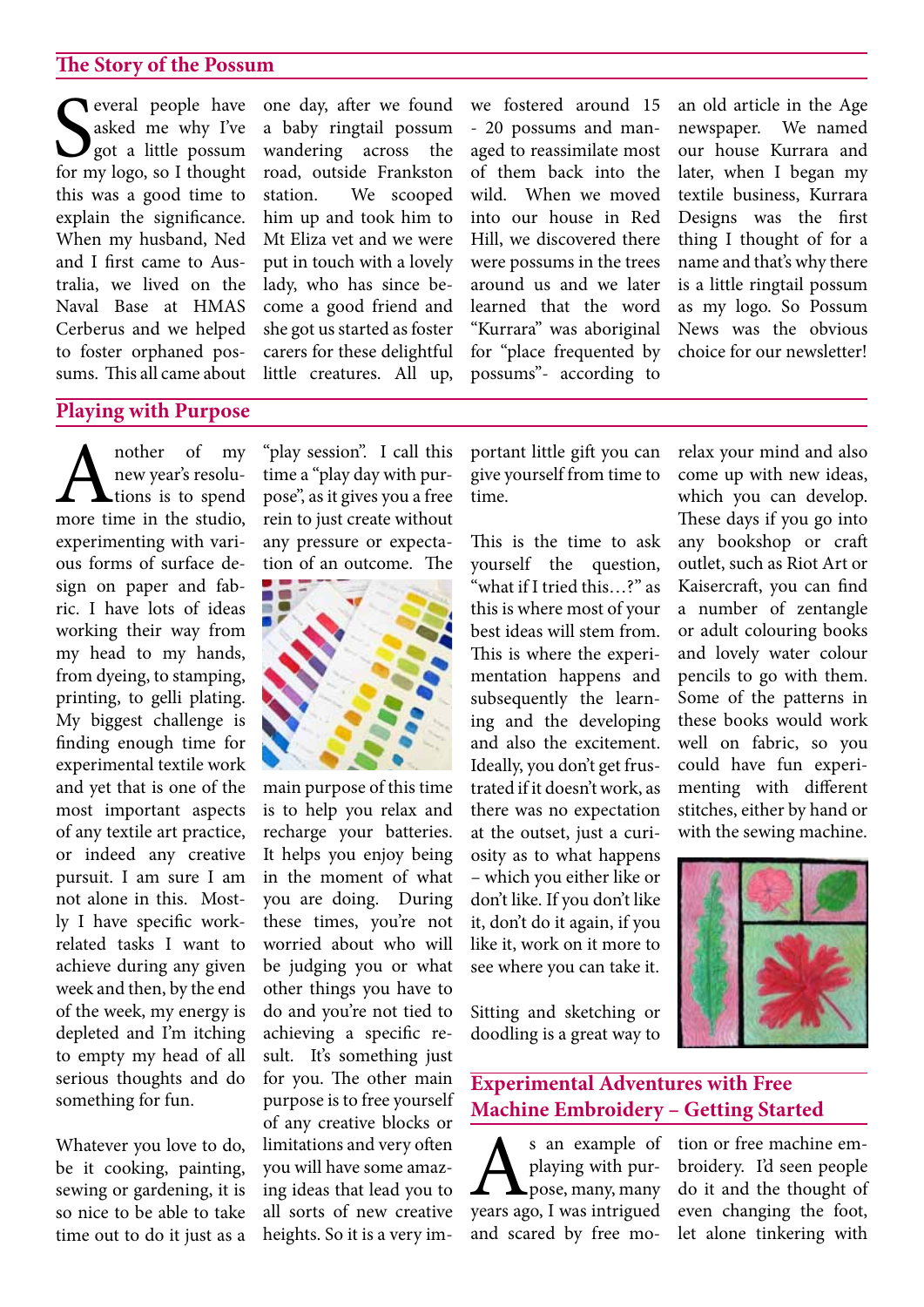## **The Story of the Possum**

Several people have<br>
asked me why I've<br>
got a little possum<br>
for my logo, so I thought everal people have asked me why I've got a little possum this was a good time to explain the significance. When my husband, Ned and I first came to Australia, we lived on the Naval Base at HMAS Cerberus and we helped to foster orphaned possums. This all came about

one day, after we found a baby ringtail possum wandering across the road, outside Frankston station. We scooped him up and took him to Mt Eliza vet and we were put in touch with a lovely lady, who has since become a good friend and she got us started as foster carers for these delightful little creatures. All up, we fostered around 15 - 20 possums and managed to reassimilate most of them back into the wild. When we moved into our house in Red Hill, we discovered there were possums in the trees around us and we later learned that the word "Kurrara" was aboriginal for "place frequented by possums"- according to

an old article in the Age newspaper. We named our house Kurrara and later, when I began my textile business, Kurrara Designs was the first thing I thought of for a name and that's why there is a little ringtail possum as my logo. So Possum News was the obvious choice for our newsletter!

## **Playing with Purpose**

A nother of my<br>new year's resolu-<br>more time in the studio, new year's resolu- $\blacktriangle$ tions is to spend experimenting with various forms of surface design on paper and fabric. I have lots of ideas working their way from my head to my hands, from dyeing, to stamping, printing, to gelli plating. My biggest challenge is finding enough time for experimental textile work and yet that is one of the most important aspects of any textile art practice, or indeed any creative pursuit. I am sure I am not alone in this. Mostly I have specific workrelated tasks I want to achieve during any given week and then, by the end of the week, my energy is depleted and I'm itching to empty my head of all serious thoughts and do something for fun.

Whatever you love to do, be it cooking, painting, sewing or gardening, it is so nice to be able to take time out to do it just as a

"play session". I call this time a "play day with purpose", as it gives you a free rein to just create without any pressure or expectation of an outcome. The



main purpose of this time is to help you relax and recharge your batteries. It helps you enjoy being in the moment of what you are doing. During these times, you're not worried about who will be judging you or what other things you have to do and you're not tied to achieving a specific result. It's something just for you. The other main purpose is to free yourself of any creative blocks or limitations and very often you will have some amazing ideas that lead you to all sorts of new creative heights. So it is a very important little gift you can give yourself from time to time.

This is the time to ask yourself the question, "what if I tried this…?" as this is where most of your best ideas will stem from. This is where the experimentation happens and subsequently the learning and the developing and also the excitement. Ideally, you don't get frustrated if it doesn'twork, as there was no expectation at the outset, just a curiosity as to what happens – which you either like or don't like. If you don't like it, don't do it again, if you like it, work on it more to see where you can take it.

Sitting and sketching or doodling is a great way to

# **Experimental Adventures with Free Machine Embroidery – Getting Started**

S an example of<br>playing with pur-<br>pose, many, many<br>years ago, I was intrigued playing with purpose, many, many years ago, I was intrigued and scared by free morelax your mind and also come up with new ideas, which you can develop. These days if you go into any bookshop or craft outlet, such as Riot Art or Kaisercraft, you can find a number of zentangle or adult colouring books and lovely water colour pencils to go with them. Some of the patterns in these books would work well on fabric, so you could have fun experimenting with different stitches, either by hand or with the sewing machine.



tion or free machine embroidery. I'd seen people do it and the thought of even changing the foot, let alone tinkering with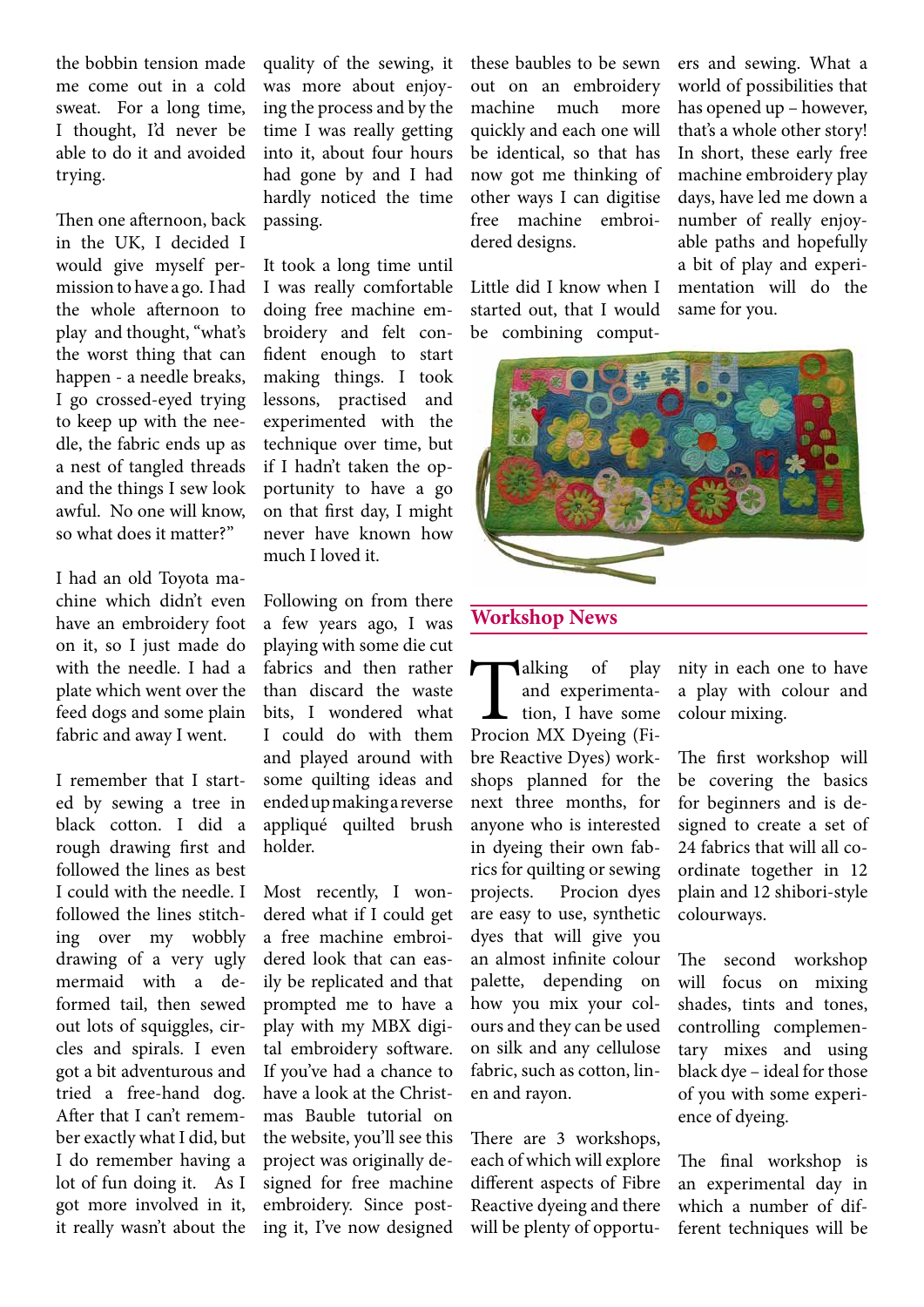the bobbin tension made me come out in a cold sweat. For a long time, I thought, I'd never be able to do it and avoided trying.

Then one afternoon, back in the UK, I decided I would give myself permission to have a go. I had the whole afternoon to play and thought, "what's the worst thing that can happen - a needle breaks, I go crossed-eyed trying to keep up with the needle, the fabric ends up as a nest of tangled threads and the things I sew look awful. No one will know, so what does it matter?"

I had an old Toyota machine which didn't even have an embroidery foot on it, so I just made do with the needle. I had a plate which went over the feed dogs and some plain fabric and away I went.

I remember that I started by sewing a tree in black cotton. I did a rough drawing first and followed the lines as best I could with the needle. I followed the lines stitching over my wobbly drawing of a very ugly mermaid with a deformed tail, then sewed out lots of squiggles, circles and spirals. I even got a bit adventurous and tried a free-hand dog. After that I can't remember exactly what I did, but I do remember having a lot of fun doing it. As I got more involved in it, it really wasn't about the

quality of the sewing, it was more about enjoying the process and by the time I was really getting into it, about four hours had gone by and I had hardly noticed the time passing.

It took a long time until I was really comfortable doing free machine embroidery and felt confident enough to start making things. I took lessons, practised and experimented with the technique over time, but if I hadn't taken the opportunity to have a go on that first day, I might never have known how much I loved it.

Following on from there a few years ago, I was playing with some die cut fabrics and then rather than discard the waste bits, I wondered what I could do with them and played around with some quilting ideas and endedupmakingareverse appliqué quilted brush holder.

Most recently, I wondered what if I could get a free machine embroidered look that can easily be replicated and that prompted me to have a play with my MBX digital embroidery software. If you've had a chance to have a look at the Christmas Bauble tutorial on the website, you'll see this project was originally designed for free machine embroidery. Since posting it, I've now designed

these baubles to be sewn out on an embroidery machine much more quickly and each one will be identical, so that has now got me thinking of other ways I can digitise free machine embroidered designs.

Little did I know when I started out, that I would be combining computers and sewing. What a world of possibilities that has opened up – however, that's a whole other story! In short, these early free machine embroidery play days, have led me down a number of really enjoyable paths and hopefully a bit of play and experimentation will do the same for you.



### **Workshop News**

**Talking** of play and experimentation, I have some Procion MX Dyeing (Fiand experimentation, I have some bre Reactive Dyes) workshops planned for the next three months, for anyone who is interested in dyeing their own fabrics for quilting or sewing projects. Procion dyes are easy to use, synthetic dyes that will give you an almost infinite colour palette, depending on how you mix your colours and they can be used on silk and any cellulose fabric, such as cotton, linen and rayon.

There are 3 workshops, each of which will explore different aspects of Fibre Reactive dyeing and there will be plenty of opportunity in each one to have a play with colour and colour mixing.

The first workshop will be covering the basics for beginners and is designed to create a set of 24 fabrics that will all coordinate together in 12 plain and 12 shibori-style colourways.

The second workshop will focus on mixing shades, tints and tones, controlling complementary mixes and using black dye – ideal for those of you with some experience of dyeing.

The final workshop is an experimental day in which a number of different techniques will be